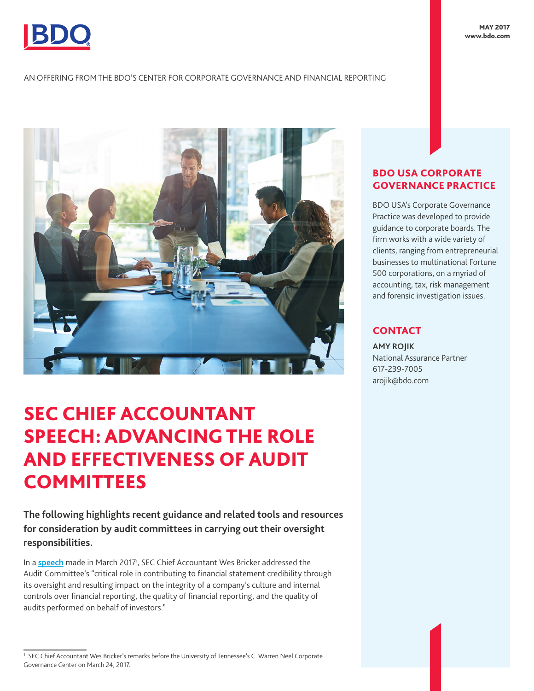

AN OFFERING FROM THE BDO'S CENTER FOR CORPORATE GOVERNANCE AND FINANCIAL REPORTING



## SEC CHIEF ACCOUNTANT SPEECH: ADVANCING THE ROLE AND EFFECTIVENESS OF AUDIT **COMMITTEES**

**The following highlights recent guidance and related tools and resources for consideration by audit committees in carrying out their oversight responsibilities.** 

In a **[speech](https://www.sec.gov/news/speech/bricker-university-tennessee-032417)** made in March 2017<sup>1</sup>, SEC Chief Accountant Wes Bricker addressed the Audit Committee's "critical role in contributing to financial statement credibility through its oversight and resulting impact on the integrity of a company's culture and internal controls over financial reporting, the quality of financial reporting, and the quality of audits performed on behalf of investors."

## BDO USA CORPORATE GOVERNANCE PRACTICE

BDO USA's Corporate Governance Practice was developed to provide guidance to corporate boards. The firm works with a wide variety of clients, ranging from entrepreneurial businesses to multinational Fortune 500 corporations, on a myriad of accounting, tax, risk management and forensic investigation issues.

## **CONTACT**

**AMY ROJIK** National Assurance Partner 617-239-7005 arojik@bdo.com

<sup>1</sup> SEC Chief Accountant Wes Bricker's remarks before the University of Tennessee's C. Warren Neel Corporate Governance Center on March 24, 2017.